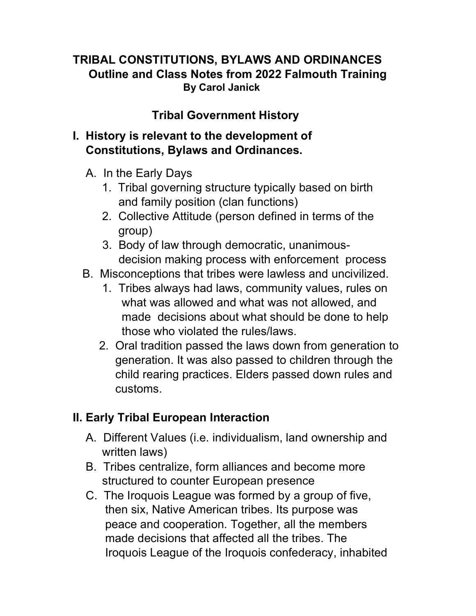#### TRIBAL CONSTITUTIONS, BYLAWS AND ORDINANCES Outline and Class Notes from 2022 Falmouth Training By Carol Janick

#### Tribal Government History

#### I. History is relevant to the development of Constitutions, Bylaws and Ordinances.

- A. In the Early Days
	- 1. Tribal governing structure typically based on birth and family position (clan functions)
	- 2. Collective Attitude (person defined in terms of the group)
	- 3. Body of law through democratic, unanimous decision making process with enforcement process
- B. Misconceptions that tribes were lawless and uncivilized.
	- 1. Tribes always had laws, community values, rules on what was allowed and what was not allowed, and made decisions about what should be done to help those who violated the rules/laws.
	- 2. Oral tradition passed the laws down from generation to generation. It was also passed to children through the child rearing practices. Elders passed down rules and customs.

### II. Early Tribal European Interaction

- A. Different Values (i.e. individualism, land ownership and written laws)
- B. Tribes centralize, form alliances and become more structured to counter European presence
- C. The Iroquois League was formed by a group of five, then six, Native American tribes. Its purpose was peace and cooperation. Together, all the members made decisions that affected all the tribes. The Iroquois League of the Iroquois confederacy, inhabited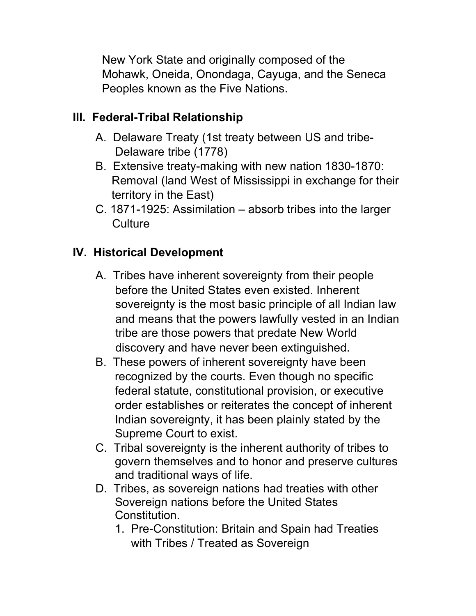New York State and originally composed of the Mohawk, Oneida, Onondaga, Cayuga, and the Seneca Peoples known as the Five Nations.

## III. Federal-Tribal Relationship

- A. Delaware Treaty (1st treaty between US and tribe- Delaware tribe (1778)
- B. Extensive treaty-making with new nation 1830-1870: Removal (land West of Mississippi in exchange for their territory in the East)
- C. 1871-1925: Assimilation absorb tribes into the larger **Culture**

# IV. Historical Development

- A. Tribes have inherent sovereignty from their people before the United States even existed. Inherent sovereignty is the most basic principle of all Indian law and means that the powers lawfully vested in an Indian tribe are those powers that predate New World discovery and have never been extinguished.
- B. These powers of inherent sovereignty have been recognized by the courts. Even though no specific federal statute, constitutional provision, or executive order establishes or reiterates the concept of inherent Indian sovereignty, it has been plainly stated by the Supreme Court to exist.
- C. Tribal sovereignty is the inherent authority of tribes to govern themselves and to honor and preserve cultures and traditional ways of life.
- D. Tribes, as sovereign nations had treaties with other Sovereign nations before the United States Constitution.
	- 1. Pre-Constitution: Britain and Spain had Treaties with Tribes / Treated as Sovereign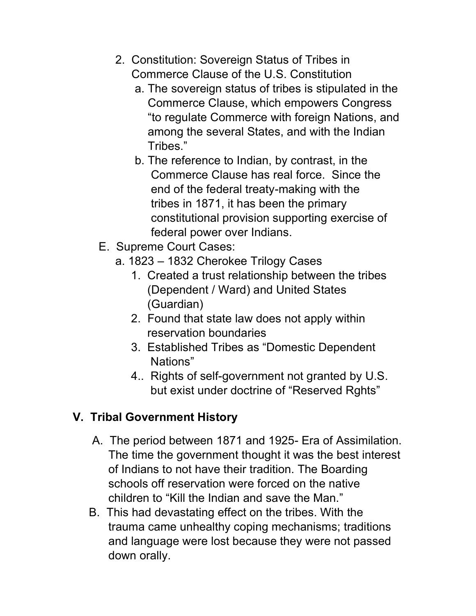- 2. Constitution: Sovereign Status of Tribes in Commerce Clause of the U.S. Constitution
	- a. The sovereign status of tribes is stipulated in the Commerce Clause, which empowers Congress "to regulate Commerce with foreign Nations, and among the several States, and with the Indian Tribes."
	- b. The reference to Indian, by contrast, in the Commerce Clause has real force. Since the end of the federal treaty-making with the tribes in 1871, it has been the primary constitutional provision supporting exercise of federal power over Indians.
- E. Supreme Court Cases:
	- a. 1823 1832 Cherokee Trilogy Cases
		- 1. Created a trust relationship between the tribes (Dependent / Ward) and United States (Guardian)
		- 2. Found that state law does not apply within reservation boundaries
		- 3. Established Tribes as "Domestic Dependent Nations"
		- 4.. Rights of self-government not granted by U.S. but exist under doctrine of "Reserved Rghts"

### V. Tribal Government History

- A. The period between 1871 and 1925- Era of Assimilation. The time the government thought it was the best interest of Indians to not have their tradition. The Boarding schools off reservation were forced on the native children to "Kill the Indian and save the Man."
- B. This had devastating effect on the tribes. With the trauma came unhealthy coping mechanisms; traditions and language were lost because they were not passed down orally.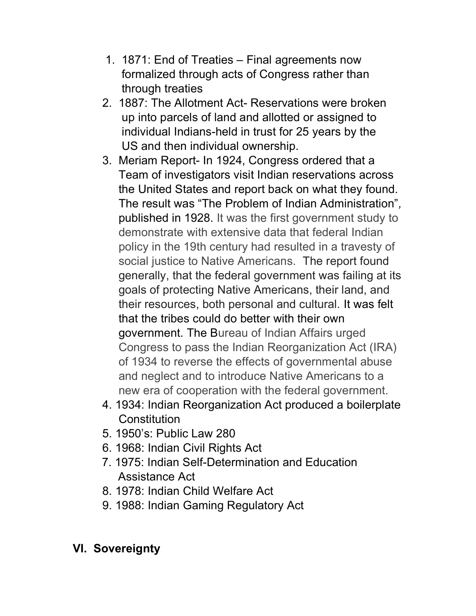- 1. 1871: End of Treaties Final agreements now formalized through acts of Congress rather than through treaties
- 2. 1887: The Allotment Act- Reservations were broken up into parcels of land and allotted or assigned to individual Indians-held in trust for 25 years by the US and then individual ownership.
- 3. Meriam Report- In 1924, Congress ordered that a Team of investigators visit Indian reservations across the United States and report back on what they found. The result was "The Problem of Indian Administration", published in 1928. It was the first government study to demonstrate with extensive data that federal Indian policy in the 19th century had resulted in a travesty of social justice to Native Americans. The report found generally, that the federal government was failing at its goals of protecting Native Americans, their land, and their resources, both personal and cultural. It was felt that the tribes could do better with their own government. The Bureau of Indian Affairs urged Congress to pass the Indian Reorganization Act (IRA) of 1934 to reverse the effects of governmental abuse and neglect and to introduce Native Americans to a new era of cooperation with the federal government.
- 4. 1934: Indian Reorganization Act produced a boilerplate **Constitution**
- 5. 1950's: Public Law 280
- 6. 1968: Indian Civil Rights Act
- 7. 1975: Indian Self-Determination and Education Assistance Act
- 8. 1978: Indian Child Welfare Act
- 9. 1988: Indian Gaming Regulatory Act

# VI. Sovereignty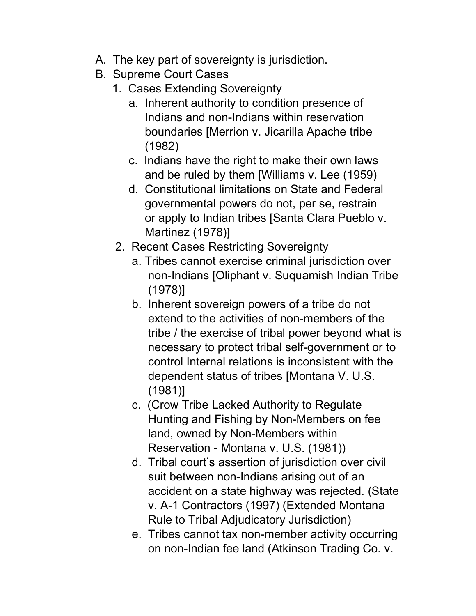- A. The key part of sovereignty is jurisdiction.
- B. Supreme Court Cases
	- 1. Cases Extending Sovereignty
		- a. Inherent authority to condition presence of Indians and non-Indians within reservation boundaries [Merrion v. Jicarilla Apache tribe (1982)
		- c. Indians have the right to make their own laws and be ruled by them [Williams v. Lee (1959)
		- d. Constitutional limitations on State and Federal governmental powers do not, per se, restrain or apply to Indian tribes [Santa Clara Pueblo v. Martinez (1978)]
	- 2. Recent Cases Restricting Sovereignty
		- a. Tribes cannot exercise criminal jurisdiction over non-Indians [Oliphant v. Suquamish Indian Tribe (1978)]
		- b. Inherent sovereign powers of a tribe do not extend to the activities of non-members of the tribe / the exercise of tribal power beyond what is necessary to protect tribal self-government or to control Internal relations is inconsistent with the dependent status of tribes [Montana V. U.S. (1981)]
		- c. (Crow Tribe Lacked Authority to Regulate Hunting and Fishing by Non-Members on fee land, owned by Non-Members within Reservation - Montana v. U.S. (1981))
		- d. Tribal court's assertion of jurisdiction over civil suit between non-Indians arising out of an accident on a state highway was rejected. (State v. A-1 Contractors (1997) (Extended Montana Rule to Tribal Adjudicatory Jurisdiction)
		- e. Tribes cannot tax non-member activity occurring on non-Indian fee land (Atkinson Trading Co. v.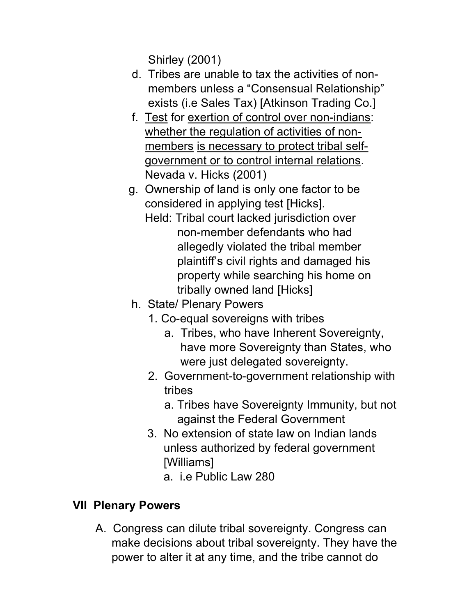Shirley (2001)

- d. Tribes are unable to tax the activities of non members unless a "Consensual Relationship" exists (i.e Sales Tax) [Atkinson Trading Co.]
- f. Test for exertion of control over non-indians: whether the regulation of activities of non members is necessary to protect tribal self government or to control internal relations. Nevada v. Hicks (2001)
- g. Ownership of land is only one factor to be considered in applying test [Hicks].
	- Held: Tribal court lacked jurisdiction over non-member defendants who had allegedly violated the tribal member plaintiff's civil rights and damaged his property while searching his home on tribally owned land [Hicks]
- h. State/ Plenary Powers
	- 1. Co-equal sovereigns with tribes
		- a. Tribes, who have Inherent Sovereignty, have more Sovereignty than States, who were just delegated sovereignty.
	- 2. Government-to-government relationship with tribes
		- a. Tribes have Sovereignty Immunity, but not against the Federal Government
	- 3. No extension of state law on Indian lands unless authorized by federal government [Williams]
		- a. i.e Public Law 280

# VII Plenary Powers

 A. Congress can dilute tribal sovereignty. Congress can make decisions about tribal sovereignty. They have the power to alter it at any time, and the tribe cannot do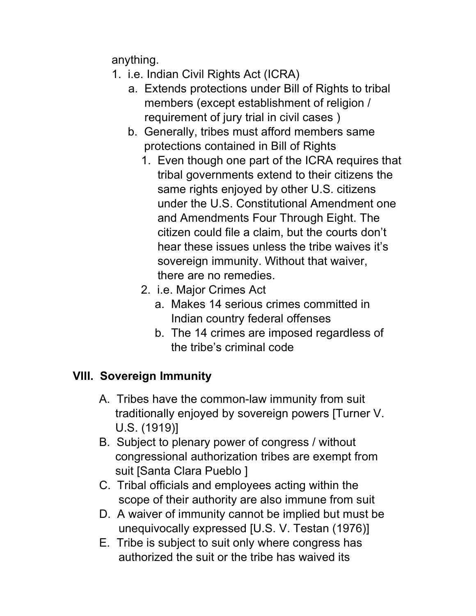anything.

- 1. i.e. Indian Civil Rights Act (ICRA)
	- a. Extends protections under Bill of Rights to tribal members (except establishment of religion / requirement of jury trial in civil cases )
	- b. Generally, tribes must afford members same protections contained in Bill of Rights
		- 1. Even though one part of the ICRA requires that tribal governments extend to their citizens the same rights enjoyed by other U.S. citizens under the U.S. Constitutional Amendment one and Amendments Four Through Eight. The citizen could file a claim, but the courts don't hear these issues unless the tribe waives it's sovereign immunity. Without that waiver, there are no remedies.
		- 2. i.e. Major Crimes Act
			- a. Makes 14 serious crimes committed in Indian country federal offenses
			- b. The 14 crimes are imposed regardless of the tribe's criminal code

### VIII. Sovereign Immunity

- A. Tribes have the common-law immunity from suit traditionally enjoyed by sovereign powers [Turner V. U.S. (1919)]
- B. Subject to plenary power of congress / without congressional authorization tribes are exempt from suit [Santa Clara Pueblo ]
- C. Tribal officials and employees acting within the scope of their authority are also immune from suit
- D. A waiver of immunity cannot be implied but must be unequivocally expressed [U.S. V. Testan (1976)]
- E. Tribe is subject to suit only where congress has authorized the suit or the tribe has waived its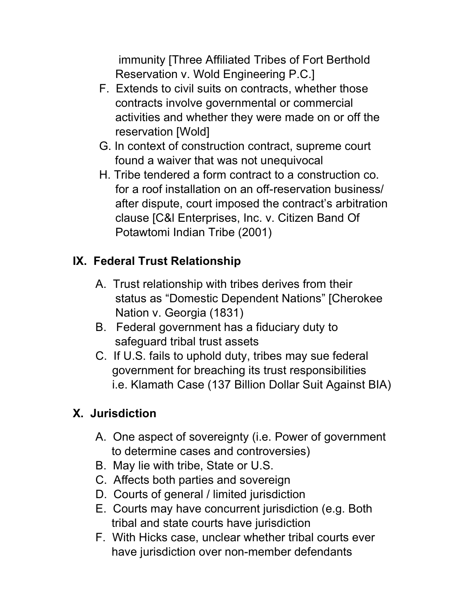immunity [Three Affiliated Tribes of Fort Berthold Reservation v. Wold Engineering P.C.]

- F. Extends to civil suits on contracts, whether those contracts involve governmental or commercial activities and whether they were made on or off the reservation [Wold]
- G. In context of construction contract, supreme court found a waiver that was not unequivocal
- H. Tribe tendered a form contract to a construction co. for a roof installation on an off-reservation business/ after dispute, court imposed the contract's arbitration clause [C&l Enterprises, Inc. v. Citizen Band Of Potawtomi Indian Tribe (2001)

# IX. Federal Trust Relationship

- A. Trust relationship with tribes derives from their status as "Domestic Dependent Nations" [Cherokee Nation v. Georgia (1831)
- B. Federal government has a fiduciary duty to safeguard tribal trust assets
- C. If U.S. fails to uphold duty, tribes may sue federal government for breaching its trust responsibilities i.e. Klamath Case (137 Billion Dollar Suit Against BIA)

# X. Jurisdiction

- A. One aspect of sovereignty (i.e. Power of government to determine cases and controversies)
- B. May lie with tribe, State or U.S.
- C. Affects both parties and sovereign
- D. Courts of general / limited jurisdiction
- E. Courts may have concurrent jurisdiction (e.g. Both tribal and state courts have jurisdiction
- F. With Hicks case, unclear whether tribal courts ever have jurisdiction over non-member defendants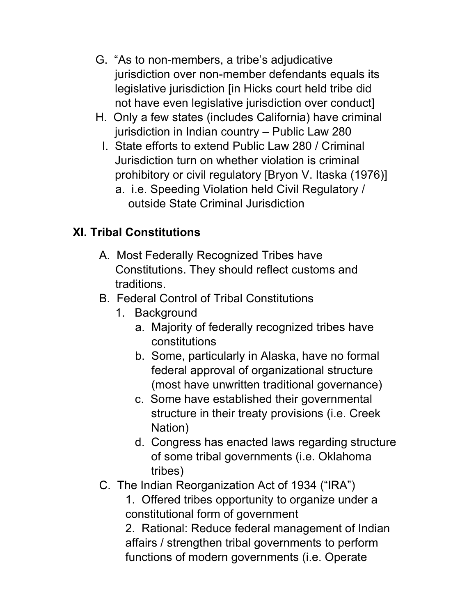- G. "As to non-members, a tribe's adjudicative jurisdiction over non-member defendants equals its legislative jurisdiction [in Hicks court held tribe did not have even legislative jurisdiction over conduct]
- H. Only a few states (includes California) have criminal jurisdiction in Indian country – Public Law 280
	- I. State efforts to extend Public Law 280 / Criminal Jurisdiction turn on whether violation is criminal prohibitory or civil regulatory [Bryon V. Itaska (1976)]
		- a. i.e. Speeding Violation held Civil Regulatory / outside State Criminal Jurisdiction

# XI. Tribal Constitutions

- A. Most Federally Recognized Tribes have Constitutions. They should reflect customs and traditions.
- B. Federal Control of Tribal Constitutions
	- 1. Background
		- a. Majority of federally recognized tribes have constitutions
		- b. Some, particularly in Alaska, have no formal federal approval of organizational structure (most have unwritten traditional governance)
		- c. Some have established their governmental structure in their treaty provisions (i.e. Creek Nation)
		- d. Congress has enacted laws regarding structure of some tribal governments (i.e. Oklahoma tribes)
- C. The Indian Reorganization Act of 1934 ("IRA")

1. Offered tribes opportunity to organize under a constitutional form of government

2. Rational: Reduce federal management of Indian affairs / strengthen tribal governments to perform functions of modern governments (i.e. Operate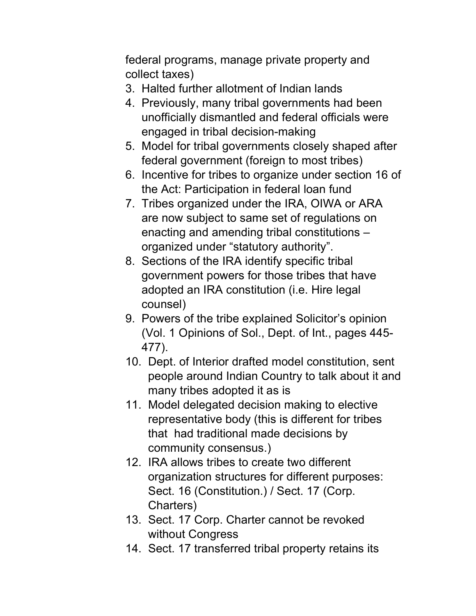federal programs, manage private property and collect taxes)

- 3. Halted further allotment of Indian lands
- 4. Previously, many tribal governments had been unofficially dismantled and federal officials were engaged in tribal decision-making
- 5. Model for tribal governments closely shaped after federal government (foreign to most tribes)
- 6. Incentive for tribes to organize under section 16 of the Act: Participation in federal loan fund
- 7. Tribes organized under the IRA, OIWA or ARA are now subject to same set of regulations on enacting and amending tribal constitutions – organized under "statutory authority".
- 8. Sections of the IRA identify specific tribal government powers for those tribes that have adopted an IRA constitution (i.e. Hire legal counsel)
- 9. Powers of the tribe explained Solicitor's opinion (Vol. 1 Opinions of Sol., Dept. of Int., pages 445- 477).
- 10. Dept. of Interior drafted model constitution, sent people around Indian Country to talk about it and many tribes adopted it as is
- 11. Model delegated decision making to elective representative body (this is different for tribes that had traditional made decisions by community consensus.)
- 12. IRA allows tribes to create two different organization structures for different purposes: Sect. 16 (Constitution.) / Sect. 17 (Corp. Charters)
- 13. Sect. 17 Corp. Charter cannot be revoked without Congress
- 14. Sect. 17 transferred tribal property retains its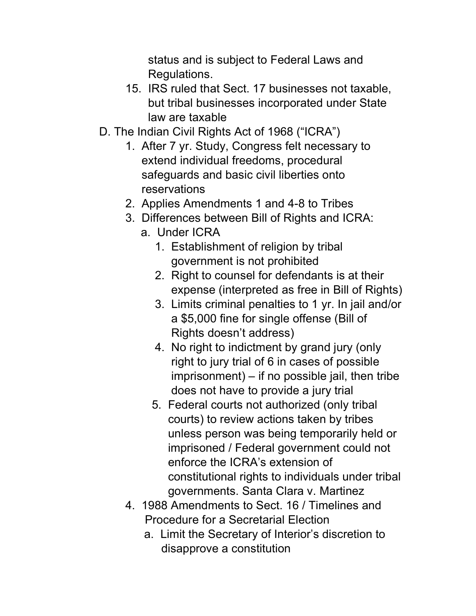status and is subject to Federal Laws and Regulations.

- 15. IRS ruled that Sect. 17 businesses not taxable, but tribal businesses incorporated under State law are taxable
- D. The Indian Civil Rights Act of 1968 ("ICRA")
	- 1. After 7 yr. Study, Congress felt necessary to extend individual freedoms, procedural safeguards and basic civil liberties onto reservations
	- 2. Applies Amendments 1 and 4-8 to Tribes
	- 3. Differences between Bill of Rights and ICRA:
		- a. Under ICRA
			- 1. Establishment of religion by tribal government is not prohibited
			- 2. Right to counsel for defendants is at their expense (interpreted as free in Bill of Rights)
			- 3. Limits criminal penalties to 1 yr. In jail and/or a \$5,000 fine for single offense (Bill of Rights doesn't address)
			- 4. No right to indictment by grand jury (only right to jury trial of 6 in cases of possible imprisonment) – if no possible jail, then tribe does not have to provide a jury trial
			- 5. Federal courts not authorized (only tribal courts) to review actions taken by tribes unless person was being temporarily held or imprisoned / Federal government could not enforce the ICRA's extension of constitutional rights to individuals under tribal governments. Santa Clara v. Martinez
	- 4. 1988 Amendments to Sect. 16 / Timelines and Procedure for a Secretarial Election
		- a. Limit the Secretary of Interior's discretion to disapprove a constitution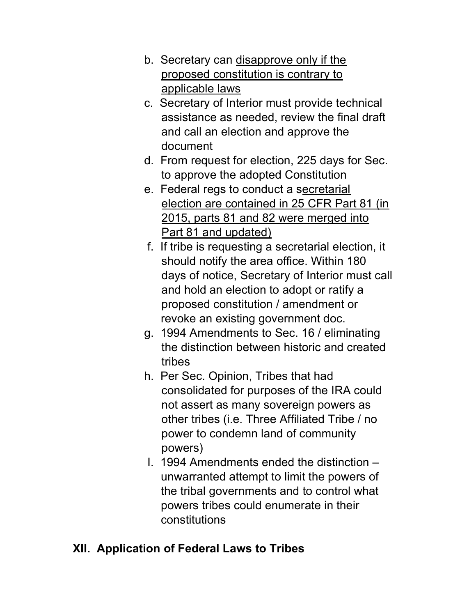- b. Secretary can disapprove only if the proposed constitution is contrary to applicable laws
- c. Secretary of Interior must provide technical assistance as needed, review the final draft and call an election and approve the document
- d. From request for election, 225 days for Sec. to approve the adopted Constitution
- e. Federal regs to conduct a secretarial election are contained in 25 CFR Part 81 (in 2015, parts 81 and 82 were merged into Part 81 and updated)
- f. If tribe is requesting a secretarial election, it should notify the area office. Within 180 days of notice, Secretary of Interior must call and hold an election to adopt or ratify a proposed constitution / amendment or revoke an existing government doc.
- g. 1994 Amendments to Sec. 16 / eliminating the distinction between historic and created tribes
- h. Per Sec. Opinion, Tribes that had consolidated for purposes of the IRA could not assert as many sovereign powers as other tribes (i.e. Three Affiliated Tribe / no power to condemn land of community powers)
- I. 1994 Amendments ended the distinction unwarranted attempt to limit the powers of the tribal governments and to control what powers tribes could enumerate in their constitutions

# XII. Application of Federal Laws to Tribes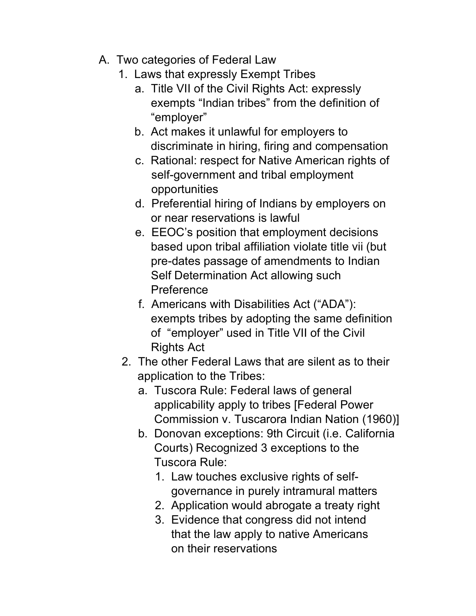- A. Two categories of Federal Law
	- 1. Laws that expressly Exempt Tribes
		- a. Title VII of the Civil Rights Act: expressly exempts "Indian tribes" from the definition of "employer"
		- b. Act makes it unlawful for employers to discriminate in hiring, firing and compensation
		- c. Rational: respect for Native American rights of self-government and tribal employment opportunities
		- d. Preferential hiring of Indians by employers on or near reservations is lawful
		- e. EEOC's position that employment decisions based upon tribal affiliation violate title vii (but pre-dates passage of amendments to Indian Self Determination Act allowing such **Preference**
		- f. Americans with Disabilities Act ("ADA"): exempts tribes by adopting the same definition of "employer" used in Title VII of the Civil Rights Act
		- 2. The other Federal Laws that are silent as to their application to the Tribes:
			- a. Tuscora Rule: Federal laws of general applicability apply to tribes [Federal Power Commission v. Tuscarora Indian Nation (1960)]
			- b. Donovan exceptions: 9th Circuit (i.e. California Courts) Recognized 3 exceptions to the Tuscora Rule:
				- 1. Law touches exclusive rights of self governance in purely intramural matters
				- 2. Application would abrogate a treaty right
				- 3. Evidence that congress did not intend that the law apply to native Americans on their reservations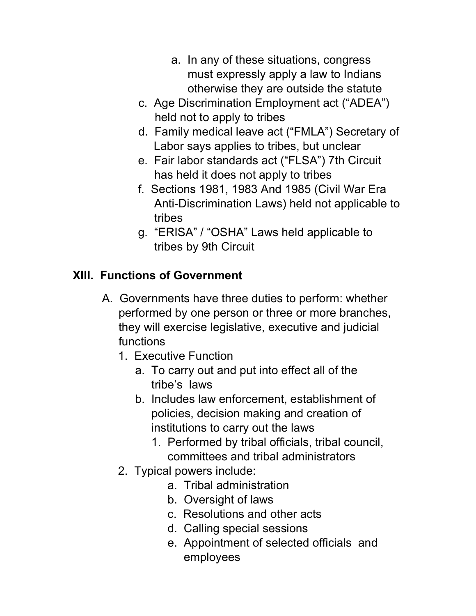- a. In any of these situations, congress must expressly apply a law to Indians otherwise they are outside the statute
- c. Age Discrimination Employment act ("ADEA") held not to apply to tribes
- d. Family medical leave act ("FMLA") Secretary of Labor says applies to tribes, but unclear
- e. Fair labor standards act ("FLSA") 7th Circuit has held it does not apply to tribes
- f. Sections 1981, 1983 And 1985 (Civil War Era Anti-Discrimination Laws) held not applicable to tribes
- g. "ERISA" / "OSHA" Laws held applicable to tribes by 9th Circuit

# XIII. Functions of Government

- A. Governments have three duties to perform: whether performed by one person or three or more branches, they will exercise legislative, executive and judicial functions
	- 1. Executive Function
		- a. To carry out and put into effect all of the tribe's laws
		- b. Includes law enforcement, establishment of policies, decision making and creation of institutions to carry out the laws
			- 1. Performed by tribal officials, tribal council, committees and tribal administrators
	- 2. Typical powers include:
		- a. Tribal administration
		- b. Oversight of laws
		- c. Resolutions and other acts
		- d. Calling special sessions
		- e. Appointment of selected officials and employees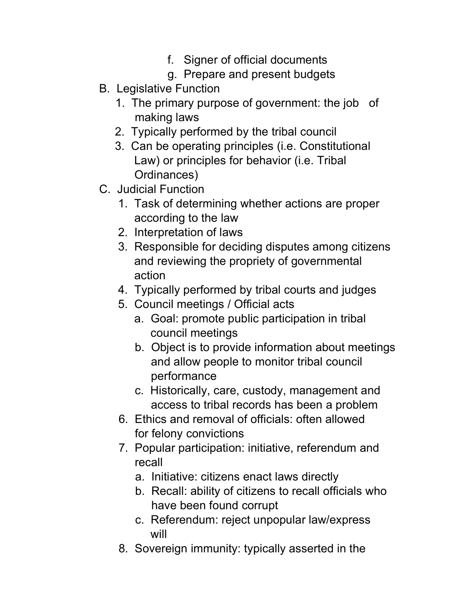- f. Signer of official documents
- g. Prepare and present budgets
- B. Legislative Function
	- 1. The primary purpose of government: the job of making laws
	- 2. Typically performed by the tribal council
	- 3. Can be operating principles (i.e. Constitutional Law) or principles for behavior (i.e. Tribal Ordinances)
- C. Judicial Function
	- 1. Task of determining whether actions are proper according to the law
	- 2. Interpretation of laws
	- 3. Responsible for deciding disputes among citizens and reviewing the propriety of governmental action
	- 4. Typically performed by tribal courts and judges
	- 5. Council meetings / Official acts
		- a. Goal: promote public participation in tribal council meetings
		- b. Object is to provide information about meetings and allow people to monitor tribal council performance
		- c. Historically, care, custody, management and access to tribal records has been a problem
	- 6. Ethics and removal of officials: often allowed for felony convictions
	- 7. Popular participation: initiative, referendum and recall
		- a. Initiative: citizens enact laws directly
		- b. Recall: ability of citizens to recall officials who have been found corrupt
		- c. Referendum: reject unpopular law/express will
	- 8. Sovereign immunity: typically asserted in the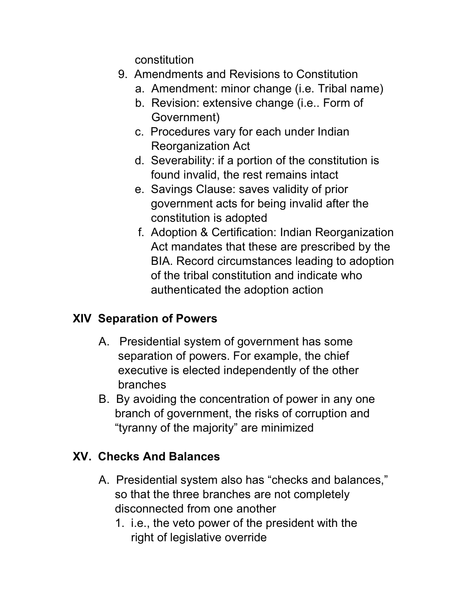constitution

- 9. Amendments and Revisions to Constitution
	- a. Amendment: minor change (i.e. Tribal name)
	- b. Revision: extensive change (i.e.. Form of Government)
	- c. Procedures vary for each under Indian Reorganization Act
	- d. Severability: if a portion of the constitution is found invalid, the rest remains intact
	- e. Savings Clause: saves validity of prior government acts for being invalid after the constitution is adopted
	- f. Adoption & Certification: Indian Reorganization Act mandates that these are prescribed by the BIA. Record circumstances leading to adoption of the tribal constitution and indicate who authenticated the adoption action

# XIV Separation of Powers

- A. Presidential system of government has some separation of powers. For example, the chief executive is elected independently of the other branches
- B. By avoiding the concentration of power in any one branch of government, the risks of corruption and "tyranny of the majority" are minimized

# XV. Checks And Balances

- A. Presidential system also has "checks and balances," so that the three branches are not completely disconnected from one another
	- 1. i.e., the veto power of the president with the right of legislative override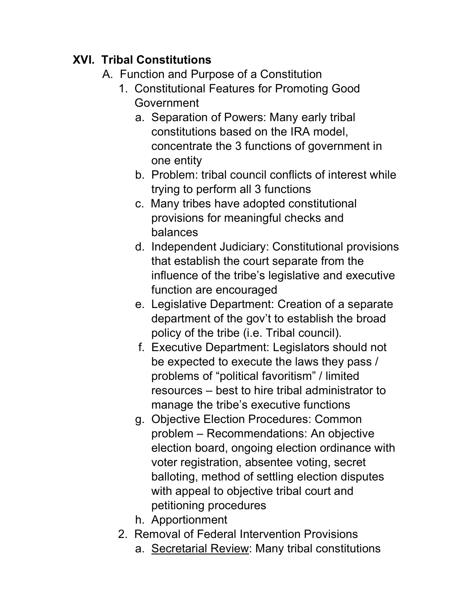# XVI. Tribal Constitutions

- A. Function and Purpose of a Constitution
	- 1. Constitutional Features for Promoting Good Government
		- a. Separation of Powers: Many early tribal constitutions based on the IRA model, concentrate the 3 functions of government in one entity
		- b. Problem: tribal council conflicts of interest while trying to perform all 3 functions
		- c. Many tribes have adopted constitutional provisions for meaningful checks and balances
		- d. Independent Judiciary: Constitutional provisions that establish the court separate from the influence of the tribe's legislative and executive function are encouraged
		- e. Legislative Department: Creation of a separate department of the gov't to establish the broad policy of the tribe (i.e. Tribal council).
		- f. Executive Department: Legislators should not be expected to execute the laws they pass / problems of "political favoritism" / limited resources – best to hire tribal administrator to manage the tribe's executive functions
		- g. Objective Election Procedures: Common problem – Recommendations: An objective election board, ongoing election ordinance with voter registration, absentee voting, secret balloting, method of settling election disputes with appeal to objective tribal court and petitioning procedures
		- h. Apportionment
	- 2. Removal of Federal Intervention Provisions
		- a. Secretarial Review: Many tribal constitutions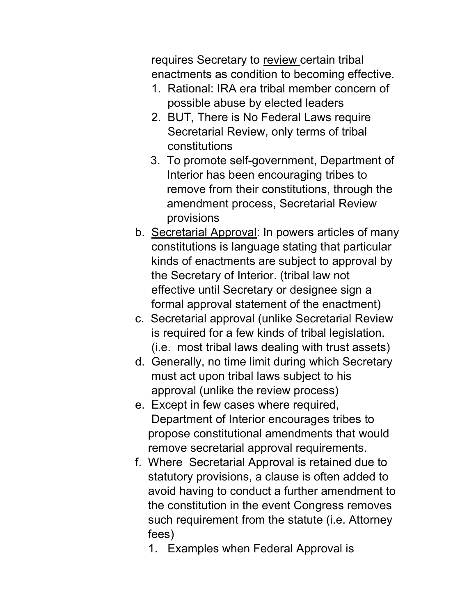requires Secretary to review certain tribal enactments as condition to becoming effective.

- 1. Rational: IRA era tribal member concern of possible abuse by elected leaders
- 2. BUT, There is No Federal Laws require Secretarial Review, only terms of tribal constitutions
- 3. To promote self-government, Department of Interior has been encouraging tribes to remove from their constitutions, through the amendment process, Secretarial Review provisions
- b. Secretarial Approval: In powers articles of many constitutions is language stating that particular kinds of enactments are subject to approval by the Secretary of Interior. (tribal law not effective until Secretary or designee sign a formal approval statement of the enactment)
- c. Secretarial approval (unlike Secretarial Review is required for a few kinds of tribal legislation. (i.e. most tribal laws dealing with trust assets)
- d. Generally, no time limit during which Secretary must act upon tribal laws subject to his approval (unlike the review process)
- e. Except in few cases where required, Department of Interior encourages tribes to propose constitutional amendments that would remove secretarial approval requirements.
- f. Where Secretarial Approval is retained due to statutory provisions, a clause is often added to avoid having to conduct a further amendment to the constitution in the event Congress removes such requirement from the statute (i.e. Attorney fees)
	- 1. Examples when Federal Approval is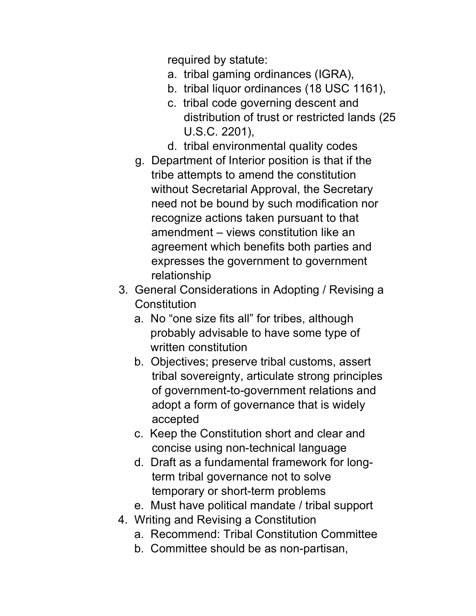required by statute:

- a. tribal gaming ordinances (IGRA),
- b. tribal liquor ordinances (18 USC 1161),
- c. tribal code governing descent and distribution of trust or restricted lands (25 U.S.C. 2201),
- d. tribal environmental quality codes
- g. Department of Interior position is that if the tribe attempts to amend the constitution without Secretarial Approval, the Secretary need not be bound by such modification nor recognize actions taken pursuant to that amendment – views constitution like an agreement which benefits both parties and expresses the government to government relationship
- 3. General Considerations in Adopting / Revising a **Constitution** 
	- a. No "one size fits all" for tribes, although probably advisable to have some type of written constitution
	- b. Objectives; preserve tribal customs, assert tribal sovereignty, articulate strong principles of government-to-government relations and adopt a form of governance that is widely accepted
	- c. Keep the Constitution short and clear and concise using non-technical language
	- d. Draft as a fundamental framework for longterm tribal governance not to solve temporary or short-term problems
	- e. Must have political mandate / tribal support
- 4. Writing and Revising a Constitution
	- a. Recommend: Tribal Constitution Committee
	- b. Committee should be as non-partisan,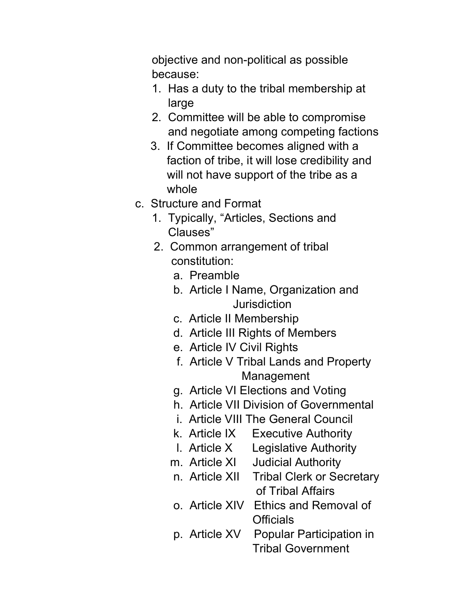objective and non-political as possible because:

- 1. Has a duty to the tribal membership at large
- 2. Committee will be able to compromise and negotiate among competing factions
- 3. If Committee becomes aligned with a faction of tribe, it will lose credibility and will not have support of the tribe as a whole
- c. Structure and Format
	- 1. Typically, "Articles, Sections and Clauses"
	- 2. Common arrangement of tribal constitution:
		- a. Preamble
		- b. Article I Name, Organization and **Jurisdiction**
		- c. Article II Membership
		- d. Article III Rights of Members
		- e. Article IV Civil Rights
		- f. Article V Tribal Lands and Property Management
		- g. Article VI Elections and Voting
		- h. Article VII Division of Governmental
		- i. Article VIII The General Council
		- k. Article IX Executive Authority
		- l. Article X Legislative Authority
		- m. Article XI Judicial Authority
		- n. Article XII Tribal Clerk or Secretary of Tribal Affairs
		- o. Article XIV Ethics and Removal of **Officials**
		- p. Article XV Popular Participation in Tribal Government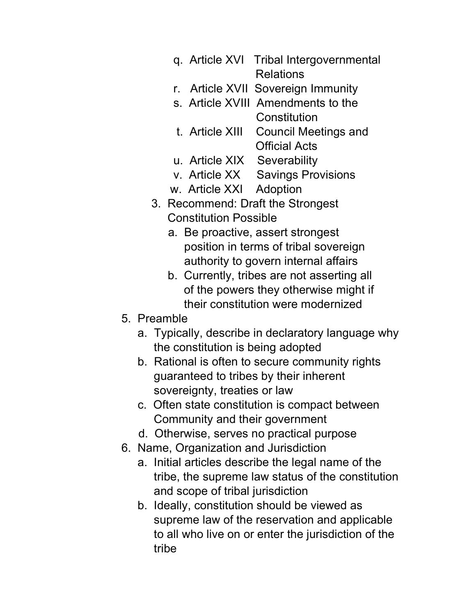- q. Article XVI Tribal Intergovernmental Relations
- r. Article XVII Sovereign Immunity
- s. Article XVIII Amendments to the **Constitution**
- t. Article XIII Council Meetings and Official Acts
- u. Article XIX Severability
- v. Article XX Savings Provisions
- w. Article XXI Adoption
- 3. Recommend: Draft the Strongest Constitution Possible
	- a. Be proactive, assert strongest position in terms of tribal sovereign authority to govern internal affairs
	- b. Currently, tribes are not asserting all of the powers they otherwise might if their constitution were modernized
- 5. Preamble
	- a. Typically, describe in declaratory language why the constitution is being adopted
	- b. Rational is often to secure community rights guaranteed to tribes by their inherent sovereignty, treaties or law
	- c. Often state constitution is compact between Community and their government
	- d. Otherwise, serves no practical purpose
- 6. Name, Organization and Jurisdiction
	- a. Initial articles describe the legal name of the tribe, the supreme law status of the constitution and scope of tribal jurisdiction
	- b. Ideally, constitution should be viewed as supreme law of the reservation and applicable to all who live on or enter the jurisdiction of the tribe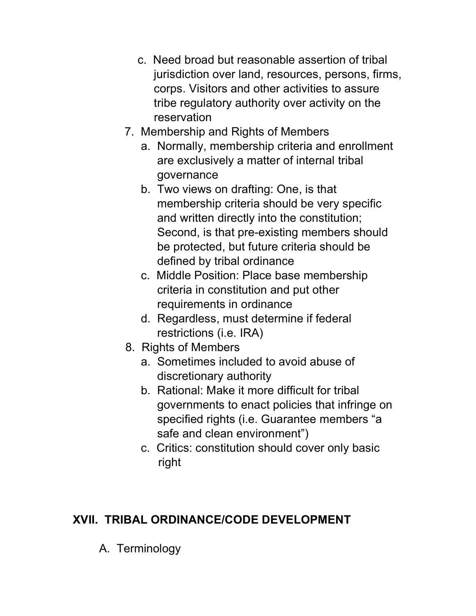- c. Need broad but reasonable assertion of tribal jurisdiction over land, resources, persons, firms, corps. Visitors and other activities to assure tribe regulatory authority over activity on the reservation
- 7. Membership and Rights of Members
	- a. Normally, membership criteria and enrollment are exclusively a matter of internal tribal governance
	- b. Two views on drafting: One, is that membership criteria should be very specific and written directly into the constitution; Second, is that pre-existing members should be protected, but future criteria should be defined by tribal ordinance
	- c. Middle Position: Place base membership criteria in constitution and put other requirements in ordinance
	- d. Regardless, must determine if federal restrictions (i.e. IRA)
- 8. Rights of Members
	- a. Sometimes included to avoid abuse of discretionary authority
	- b. Rational: Make it more difficult for tribal governments to enact policies that infringe on specified rights (i.e. Guarantee members "a safe and clean environment")
	- c. Critics: constitution should cover only basic right

# XVII. TRIBAL ORDINANCE/CODE DEVELOPMENT

A. Terminology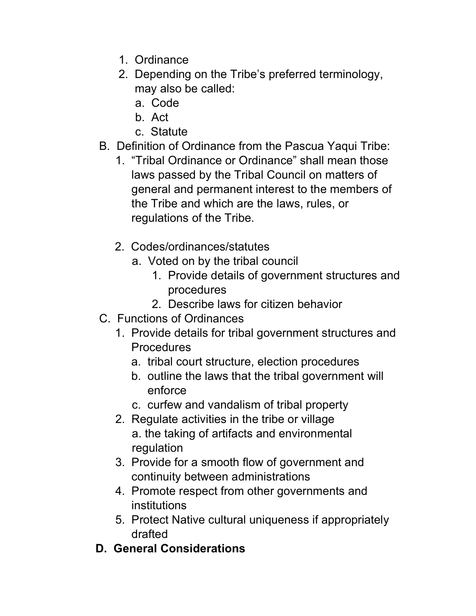- 1. Ordinance
- 2. Depending on the Tribe's preferred terminology, may also be called:
	- a. Code
	- b. Act
	- c. Statute
- B. Definition of Ordinance from the Pascua Yaqui Tribe:
	- 1. "Tribal Ordinance or Ordinance" shall mean those laws passed by the Tribal Council on matters of general and permanent interest to the members of the Tribe and which are the laws, rules, or regulations of the Tribe.
	- 2. Codes/ordinances/statutes
		- a. Voted on by the tribal council
			- 1. Provide details of government structures and procedures
			- 2. Describe laws for citizen behavior
- C. Functions of Ordinances
	- 1. Provide details for tribal government structures and Procedures
		- a. tribal court structure, election procedures
		- b. outline the laws that the tribal government will enforce
		- c. curfew and vandalism of tribal property
	- 2. Regulate activities in the tribe or village a. the taking of artifacts and environmental regulation
	- 3. Provide for a smooth flow of government and continuity between administrations
	- 4. Promote respect from other governments and institutions
	- 5. Protect Native cultural uniqueness if appropriately drafted
- D. General Considerations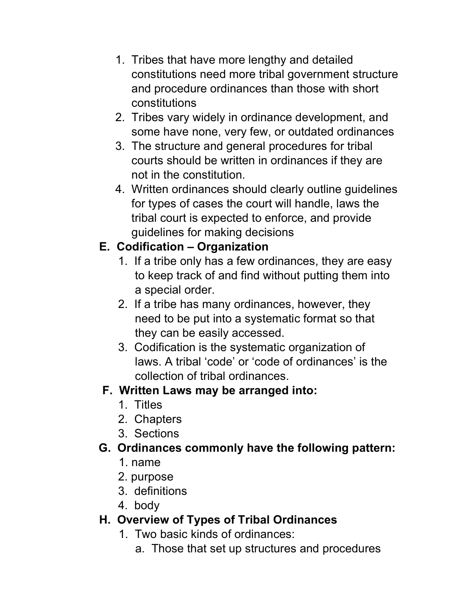- 1. Tribes that have more lengthy and detailed constitutions need more tribal government structure and procedure ordinances than those with short constitutions
- 2. Tribes vary widely in ordinance development, and some have none, very few, or outdated ordinances
- 3. The structure and general procedures for tribal courts should be written in ordinances if they are not in the constitution.
- 4. Written ordinances should clearly outline guidelines for types of cases the court will handle, laws the tribal court is expected to enforce, and provide guidelines for making decisions

# E. Codification – Organization

- 1. If a tribe only has a few ordinances, they are easy to keep track of and find without putting them into a special order.
- 2. If a tribe has many ordinances, however, they need to be put into a systematic format so that they can be easily accessed.
- 3. Codification is the systematic organization of laws. A tribal 'code' or 'code of ordinances' is the collection of tribal ordinances.

# F. Written Laws may be arranged into:

- 1. Titles
- 2. Chapters
- 3. Sections

# G. Ordinances commonly have the following pattern:

- 1. name
- 2. purpose
- 3. definitions
- 4. body

# H. Overview of Types of Tribal Ordinances

- 1. Two basic kinds of ordinances:
	- a. Those that set up structures and procedures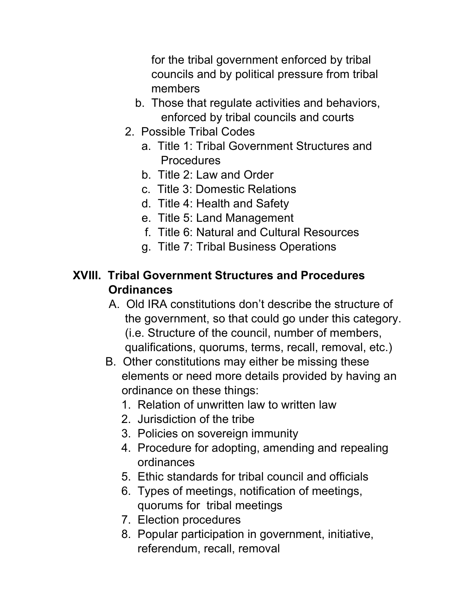for the tribal government enforced by tribal councils and by political pressure from tribal members

- b. Those that regulate activities and behaviors, enforced by tribal councils and courts
- 2. Possible Tribal Codes
	- a. Title 1: Tribal Government Structures and Procedures
	- b. Title 2: Law and Order
	- c. Title 3: Domestic Relations
	- d. Title 4: Health and Safety
	- e. Title 5: Land Management
	- f. Title 6: Natural and Cultural Resources
	- g. Title 7: Tribal Business Operations

### XVIII. Tribal Government Structures and Procedures **Ordinances**

- A. Old IRA constitutions don't describe the structure of the government, so that could go under this category. (i.e. Structure of the council, number of members, qualifications, quorums, terms, recall, removal, etc.)
- B. Other constitutions may either be missing these elements or need more details provided by having an ordinance on these things:
	- 1. Relation of unwritten law to written law
	- 2. Jurisdiction of the tribe
	- 3. Policies on sovereign immunity
	- 4. Procedure for adopting, amending and repealing ordinances
	- 5. Ethic standards for tribal council and officials
	- 6. Types of meetings, notification of meetings, quorums for tribal meetings
	- 7. Election procedures
	- 8. Popular participation in government, initiative, referendum, recall, removal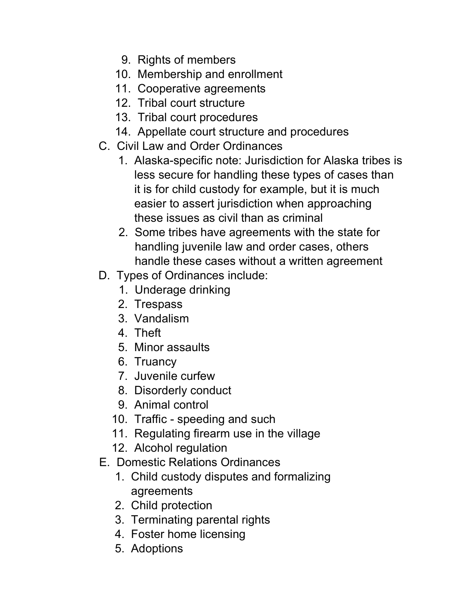- 9. Rights of members
- 10. Membership and enrollment
- 11. Cooperative agreements
- 12. Tribal court structure
- 13. Tribal court procedures
- 14. Appellate court structure and procedures
- C. Civil Law and Order Ordinances
	- 1. Alaska-specific note: Jurisdiction for Alaska tribes is less secure for handling these types of cases than it is for child custody for example, but it is much easier to assert jurisdiction when approaching these issues as civil than as criminal
	- 2. Some tribes have agreements with the state for handling juvenile law and order cases, others handle these cases without a written agreement
- D. Types of Ordinances include:
	- 1. Underage drinking
	- 2. Trespass
	- 3. Vandalism
	- 4. Theft
	- 5. Minor assaults
	- 6. Truancy
	- 7. Juvenile curfew
	- 8. Disorderly conduct
	- 9. Animal control
	- 10. Traffic speeding and such
	- 11. Regulating firearm use in the village
	- 12. Alcohol regulation
- E. Domestic Relations Ordinances
	- 1. Child custody disputes and formalizing agreements
	- 2. Child protection
	- 3. Terminating parental rights
	- 4. Foster home licensing
	- 5. Adoptions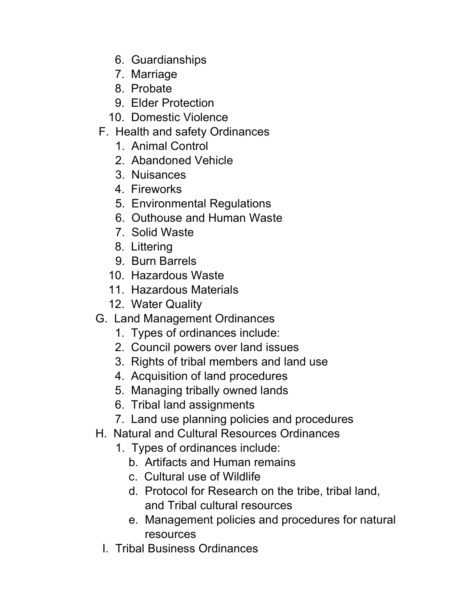- 6. Guardianships
- 7. Marriage
- 8. Probate
- 9. Elder Protection
- 10. Domestic Violence
- F. Health and safety Ordinances
	- 1. Animal Control
	- 2. Abandoned Vehicle
	- 3. Nuisances
	- 4. Fireworks
	- 5. Environmental Regulations
	- 6. Outhouse and Human Waste
	- 7. Solid Waste
	- 8. Littering
	- 9. Burn Barrels
	- 10. Hazardous Waste
	- 11. Hazardous Materials
	- 12. Water Quality
- G. Land Management Ordinances
	- 1. Types of ordinances include:
	- 2. Council powers over land issues
	- 3. Rights of tribal members and land use
	- 4. Acquisition of land procedures
	- 5. Managing tribally owned lands
	- 6. Tribal land assignments
	- 7. Land use planning policies and procedures
- H. Natural and Cultural Resources Ordinances
	- 1. Types of ordinances include:
		- b. Artifacts and Human remains
		- c. Cultural use of Wildlife
		- d. Protocol for Research on the tribe, tribal land, and Tribal cultural resources
		- e. Management policies and procedures for natural resources
	- I. Tribal Business Ordinances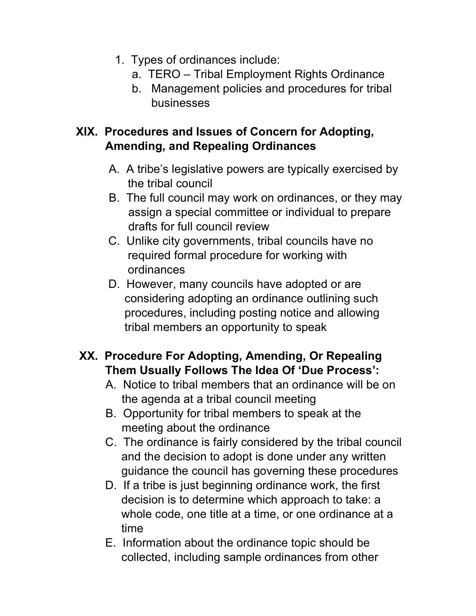- 1. Types of ordinances include:
	- a. TERO Tribal Employment Rights Ordinance
	- b. Management policies and procedures for tribal businesses

#### XIX. Procedures and Issues of Concern for Adopting, Amending, and Repealing Ordinances

- A. A tribe's legislative powers are typically exercised by the tribal council
- B. The full council may work on ordinances, or they may assign a special committee or individual to prepare drafts for full council review
- C. Unlike city governments, tribal councils have no required formal procedure for working with ordinances
- D. However, many councils have adopted or are considering adopting an ordinance outlining such procedures, including posting notice and allowing tribal members an opportunity to speak

# XX. Procedure For Adopting, Amending, Or Repealing Them Usually Follows The Idea Of 'Due Process':

- A. Notice to tribal members that an ordinance will be on the agenda at a tribal council meeting
- B. Opportunity for tribal members to speak at the meeting about the ordinance
- C. The ordinance is fairly considered by the tribal council and the decision to adopt is done under any written guidance the council has governing these procedures
- D. If a tribe is just beginning ordinance work, the first decision is to determine which approach to take: a whole code, one title at a time, or one ordinance at a time
- E. Information about the ordinance topic should be collected, including sample ordinances from other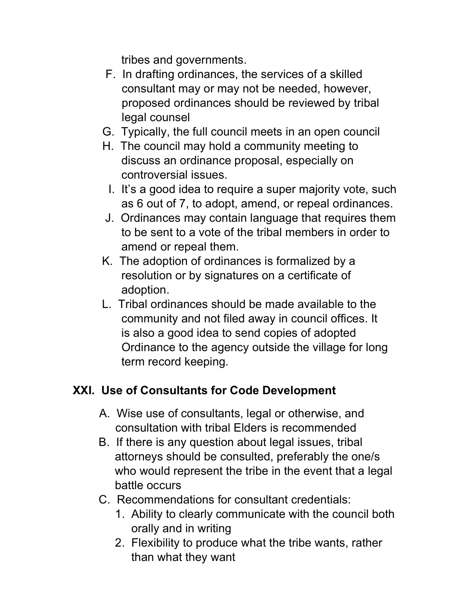tribes and governments.

- F. In drafting ordinances, the services of a skilled consultant may or may not be needed, however, proposed ordinances should be reviewed by tribal legal counsel
- G. Typically, the full council meets in an open council
- H. The council may hold a community meeting to discuss an ordinance proposal, especially on controversial issues.
	- I. It's a good idea to require a super majority vote, such as 6 out of 7, to adopt, amend, or repeal ordinances.
- J. Ordinances may contain language that requires them to be sent to a vote of the tribal members in order to amend or repeal them.
- K. The adoption of ordinances is formalized by a resolution or by signatures on a certificate of adoption.
- L. Tribal ordinances should be made available to the community and not filed away in council offices. It is also a good idea to send copies of adopted Ordinance to the agency outside the village for long term record keeping.

# XXI. Use of Consultants for Code Development

- A. Wise use of consultants, legal or otherwise, and consultation with tribal Elders is recommended
- B. If there is any question about legal issues, tribal attorneys should be consulted, preferably the one/s who would represent the tribe in the event that a legal battle occurs
- C. Recommendations for consultant credentials:
	- 1. Ability to clearly communicate with the council both orally and in writing
	- 2. Flexibility to produce what the tribe wants, rather than what they want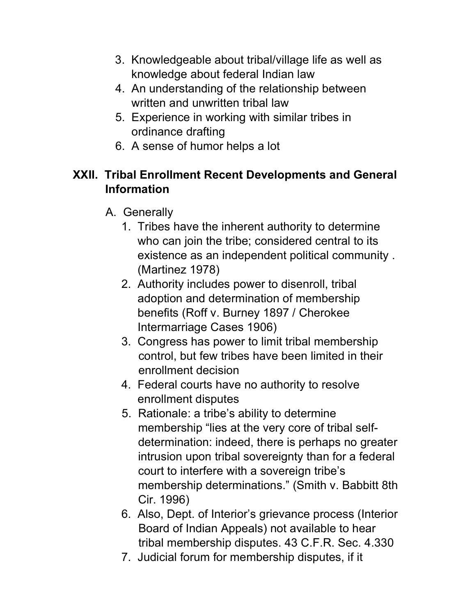- 3. Knowledgeable about tribal/village life as well as knowledge about federal Indian law
- 4. An understanding of the relationship between written and unwritten tribal law
- 5. Experience in working with similar tribes in ordinance drafting
- 6. A sense of humor helps a lot

## XXII. Tribal Enrollment Recent Developments and General Information

- A. Generally
	- 1. Tribes have the inherent authority to determine who can join the tribe; considered central to its existence as an independent political community . (Martinez 1978)
	- 2. Authority includes power to disenroll, tribal adoption and determination of membership benefits (Roff v. Burney 1897 / Cherokee Intermarriage Cases 1906)
	- 3. Congress has power to limit tribal membership control, but few tribes have been limited in their enrollment decision
	- 4. Federal courts have no authority to resolve enrollment disputes
	- 5. Rationale: a tribe's ability to determine membership "lies at the very core of tribal self determination: indeed, there is perhaps no greater intrusion upon tribal sovereignty than for a federal court to interfere with a sovereign tribe's membership determinations." (Smith v. Babbitt 8th Cir. 1996)
	- 6. Also, Dept. of Interior's grievance process (Interior Board of Indian Appeals) not available to hear tribal membership disputes. 43 C.F.R. Sec. 4.330
	- 7. Judicial forum for membership disputes, if it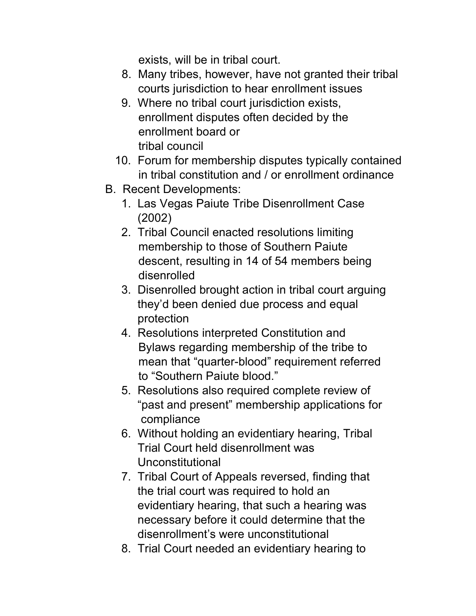exists, will be in tribal court.

- 8. Many tribes, however, have not granted their tribal courts jurisdiction to hear enrollment issues
- 9. Where no tribal court jurisdiction exists, enrollment disputes often decided by the enrollment board or tribal council
- 10. Forum for membership disputes typically contained in tribal constitution and / or enrollment ordinance
- B. Recent Developments:
	- 1. Las Vegas Paiute Tribe Disenrollment Case (2002)
	- 2. Tribal Council enacted resolutions limiting membership to those of Southern Paiute descent, resulting in 14 of 54 members being disenrolled
	- 3. Disenrolled brought action in tribal court arguing they'd been denied due process and equal protection
	- 4. Resolutions interpreted Constitution and Bylaws regarding membership of the tribe to mean that "quarter-blood" requirement referred to "Southern Paiute blood."
	- 5. Resolutions also required complete review of "past and present" membership applications for compliance
	- 6. Without holding an evidentiary hearing, Tribal Trial Court held disenrollment was Unconstitutional
	- 7. Tribal Court of Appeals reversed, finding that the trial court was required to hold an evidentiary hearing, that such a hearing was necessary before it could determine that the disenrollment's were unconstitutional
	- 8. Trial Court needed an evidentiary hearing to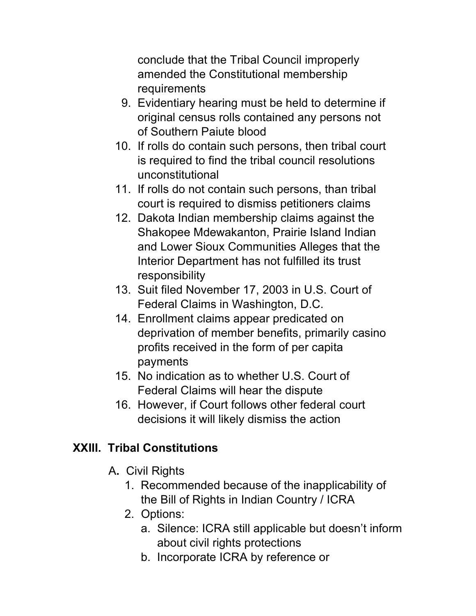conclude that the Tribal Council improperly amended the Constitutional membership requirements

- 9. Evidentiary hearing must be held to determine if original census rolls contained any persons not of Southern Paiute blood
- 10. If rolls do contain such persons, then tribal court is required to find the tribal council resolutions unconstitutional
- 11. If rolls do not contain such persons, than tribal court is required to dismiss petitioners claims
- 12. Dakota Indian membership claims against the Shakopee Mdewakanton, Prairie Island Indian and Lower Sioux Communities Alleges that the Interior Department has not fulfilled its trust responsibility
- 13. Suit filed November 17, 2003 in U.S. Court of Federal Claims in Washington, D.C.
- 14. Enrollment claims appear predicated on deprivation of member benefits, primarily casino profits received in the form of per capita payments
- 15. No indication as to whether U.S. Court of Federal Claims will hear the dispute
- 16. However, if Court follows other federal court decisions it will likely dismiss the action

# XXIII. Tribal Constitutions

- A. Civil Rights
	- 1. Recommended because of the inapplicability of the Bill of Rights in Indian Country / ICRA
	- 2. Options:
		- a. Silence: ICRA still applicable but doesn't inform about civil rights protections
		- b. Incorporate ICRA by reference or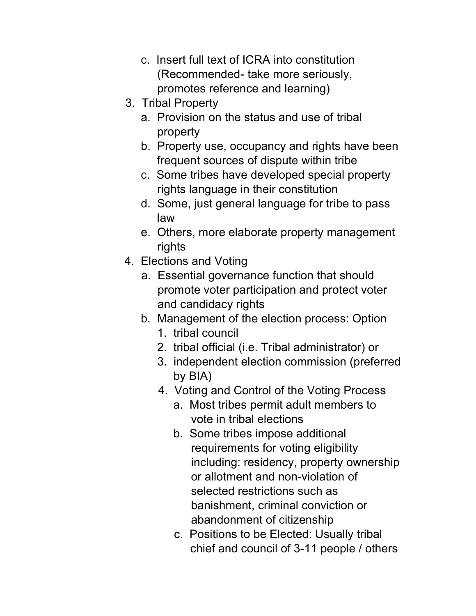- c. Insert full text of ICRA into constitution (Recommended- take more seriously, promotes reference and learning)
- 3. Tribal Property
	- a. Provision on the status and use of tribal property
	- b. Property use, occupancy and rights have been frequent sources of dispute within tribe
	- c. Some tribes have developed special property rights language in their constitution
	- d. Some, just general language for tribe to pass law
	- e. Others, more elaborate property management rights
- 4. Elections and Voting
	- a. Essential governance function that should promote voter participation and protect voter and candidacy rights
	- b. Management of the election process: Option
		- 1. tribal council
		- 2. tribal official (i.e. Tribal administrator) or
		- 3. independent election commission (preferred by BIA)
		- 4. Voting and Control of the Voting Process
			- a. Most tribes permit adult members to vote in tribal elections
			- b. Some tribes impose additional requirements for voting eligibility including: residency, property ownership or allotment and non-violation of selected restrictions such as banishment, criminal conviction or abandonment of citizenship
			- c. Positions to be Elected: Usually tribal chief and council of 3-11 people / others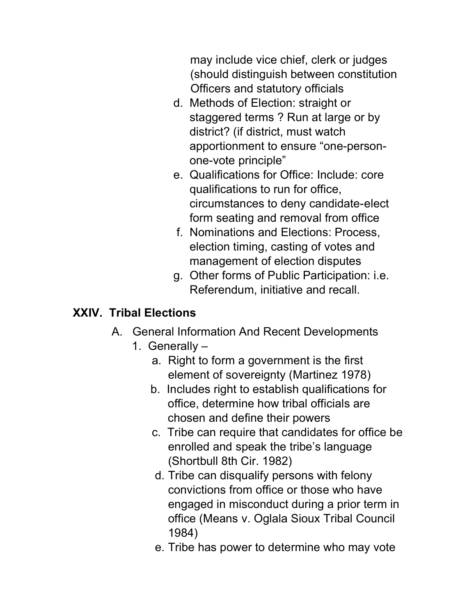may include vice chief, clerk or judges (should distinguish between constitution Officers and statutory officials

- d. Methods of Election: straight or staggered terms ? Run at large or by district? (if district, must watch apportionment to ensure "one-person one-vote principle"
- e. Qualifications for Office: Include: core qualifications to run for office, circumstances to deny candidate-elect form seating and removal from office
- f. Nominations and Elections: Process, election timing, casting of votes and management of election disputes
- g. Other forms of Public Participation: i.e. Referendum, initiative and recall.

## XXIV. Tribal Elections

- A. General Information And Recent Developments
	- 1. Generally
		- a. Right to form a government is the first element of sovereignty (Martinez 1978)
		- b. Includes right to establish qualifications for office, determine how tribal officials are chosen and define their powers
		- c. Tribe can require that candidates for office be enrolled and speak the tribe's language (Shortbull 8th Cir. 1982)
		- d. Tribe can disqualify persons with felony convictions from office or those who have engaged in misconduct during a prior term in office (Means v. Oglala Sioux Tribal Council 1984)
		- e. Tribe has power to determine who may vote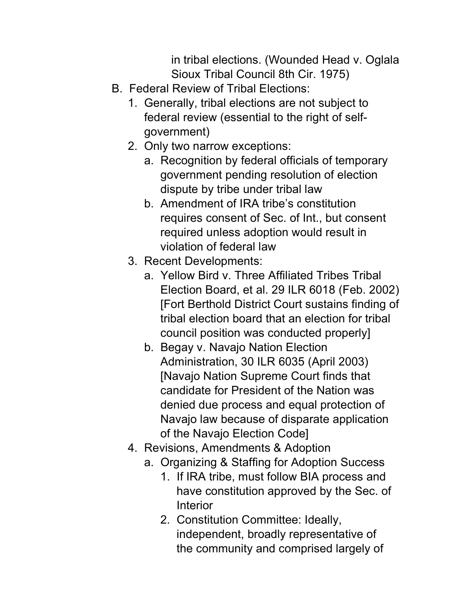in tribal elections. (Wounded Head v. Oglala Sioux Tribal Council 8th Cir. 1975)

- B. Federal Review of Tribal Elections:
	- 1. Generally, tribal elections are not subject to federal review (essential to the right of self government)
	- 2. Only two narrow exceptions:
		- a. Recognition by federal officials of temporary government pending resolution of election dispute by tribe under tribal law
		- b. Amendment of IRA tribe's constitution requires consent of Sec. of Int., but consent required unless adoption would result in violation of federal law
	- 3. Recent Developments:
		- a. Yellow Bird v. Three Affiliated Tribes Tribal Election Board, et al. 29 ILR 6018 (Feb. 2002) [Fort Berthold District Court sustains finding of tribal election board that an election for tribal council position was conducted properly]
		- b. Begay v. Navajo Nation Election Administration, 30 ILR 6035 (April 2003) [Navajo Nation Supreme Court finds that candidate for President of the Nation was denied due process and equal protection of Navajo law because of disparate application of the Navajo Election Code]
	- 4. Revisions, Amendments & Adoption
		- a. Organizing & Staffing for Adoption Success
			- 1. If IRA tribe, must follow BIA process and have constitution approved by the Sec. of Interior
			- 2. Constitution Committee: Ideally, independent, broadly representative of the community and comprised largely of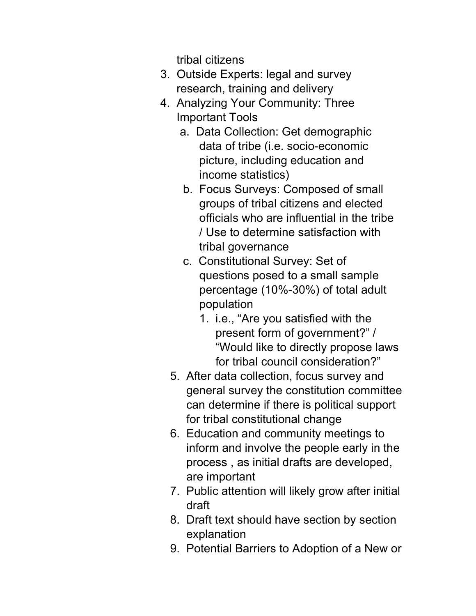tribal citizens

- 3. Outside Experts: legal and survey research, training and delivery
- 4. Analyzing Your Community: Three Important Tools
	- a. Data Collection: Get demographic data of tribe (i.e. socio-economic picture, including education and income statistics)
	- b. Focus Surveys: Composed of small groups of tribal citizens and elected officials who are influential in the tribe / Use to determine satisfaction with tribal governance
	- c. Constitutional Survey: Set of questions posed to a small sample percentage (10%-30%) of total adult population
		- 1. i.e., "Are you satisfied with the present form of government?" / "Would like to directly propose laws for tribal council consideration?"
	- 5. After data collection, focus survey and general survey the constitution committee can determine if there is political support for tribal constitutional change
	- 6. Education and community meetings to inform and involve the people early in the process , as initial drafts are developed, are important
	- 7. Public attention will likely grow after initial draft
	- 8. Draft text should have section by section explanation
	- 9. Potential Barriers to Adoption of a New or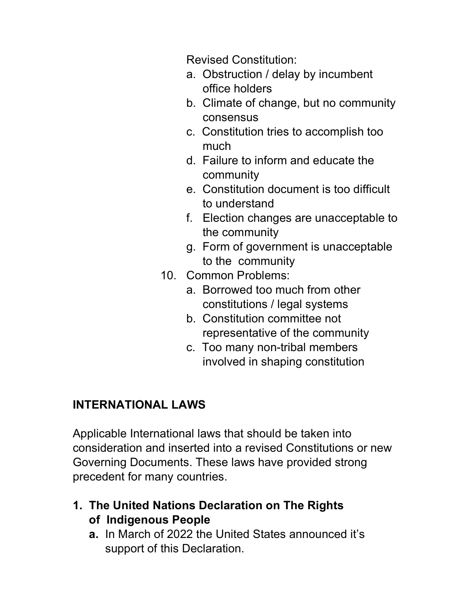Revised Constitution:

- a. Obstruction / delay by incumbent office holders
- b. Climate of change, but no community consensus
- c. Constitution tries to accomplish too much
- d. Failure to inform and educate the community
- e. Constitution document is too difficult to understand
- f. Election changes are unacceptable to the community
- g. Form of government is unacceptable to the community
- 10. Common Problems:
	- a. Borrowed too much from other constitutions / legal systems
	- b. Constitution committee not representative of the community
	- c. Too many non-tribal members involved in shaping constitution

# INTERNATIONAL LAWS

Applicable International laws that should be taken into consideration and inserted into a revised Constitutions or new Governing Documents. These laws have provided strong precedent for many countries.

### 1. The United Nations Declaration on The Rights of Indigenous People

 a. In March of 2022 the United States announced it's support of this Declaration.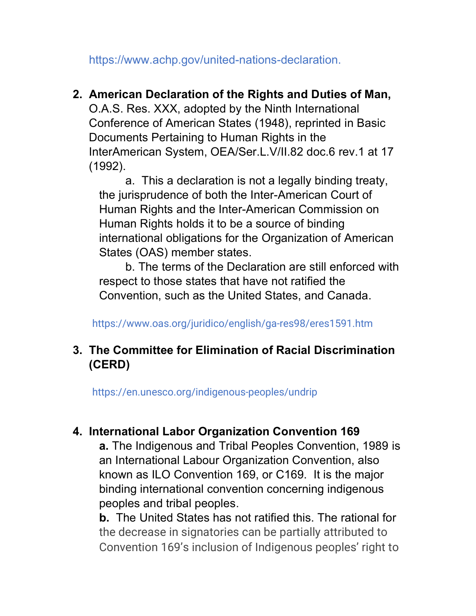https://www.achp.gov/united-nations-declaration.

#### 2. American Declaration of the Rights and Duties of Man,

 O.A.S. Res. XXX, adopted by the Ninth International Conference of American States (1948), reprinted in Basic Documents Pertaining to Human Rights in the InterAmerican System, OEA/Ser.L.V/II.82 doc.6 rev.1 at 17 (1992).

a. This a declaration is not a legally binding treaty, the jurisprudence of both the Inter-American Court of Human Rights and the Inter-American Commission on Human Rights holds it to be a source of binding international obligations for the Organization of American States (OAS) member states.

b. The terms of the Declaration are still enforced with respect to those states that have not ratified the Convention, such as the United States, and Canada.

https://www.oas.org/juridico/english/ga-res98/eres1591.htm

### 3. The Committee for Elimination of Racial Discrimination (CERD)

https://en.unesco.org/indigenous-peoples/undrip

### 4. International Labor Organization Convention 169

a. The Indigenous and Tribal Peoples Convention, 1989 is an International Labour Organization Convention, also known as ILO Convention 169, or C169. It is the major binding international convention concerning indigenous peoples and tribal peoples.

b. The United States has not ratified this. The rational for the decrease in signatories can be partially attributed to Convention 169's inclusion of Indigenous peoples' right to